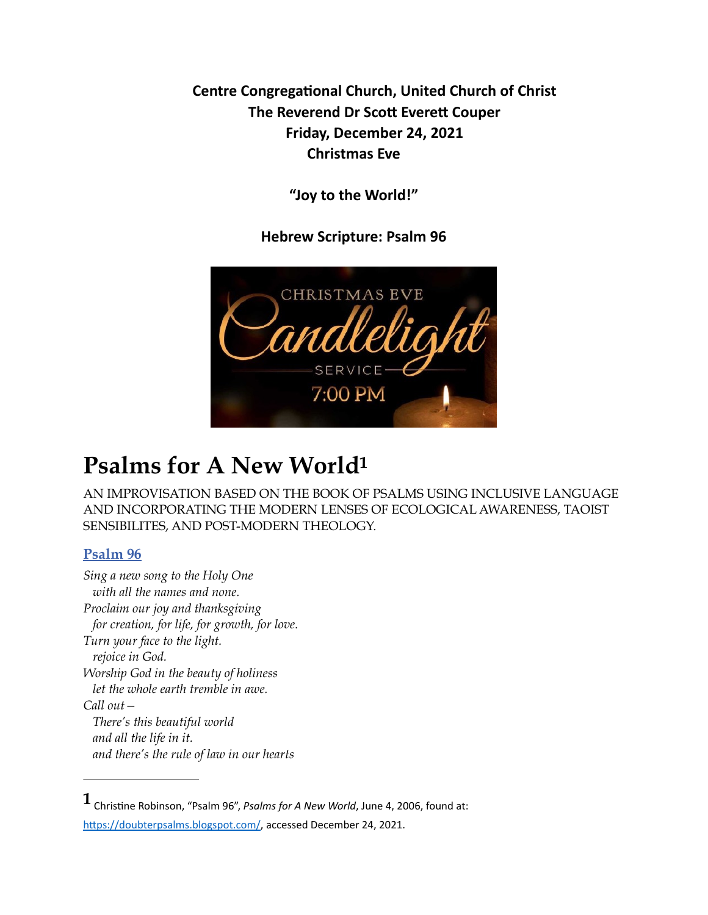**Centre Congregational Church, United Church of Christ The Reverend Dr Scott Everett Couper Friday, December 24, 2021 Christmas Eve** 

**"Joy to the World!"** 

<span id="page-0-1"></span>**Hebrew Scripture: Psalm 96** 



## **Psalms for A New Worl[d1](#page-0-0)**

AN IMPROVISATION BASED ON THE BOOK OF PSALMS USING INCLUSIVE LANGUAGE AND INCORPORATING THE MODERN LENSES OF ECOLOGICAL AWARENESS, TAOIST SENSIBILITES, AND POST-MODERN THEOLOGY.

## **[Psalm 96](https://doubterpsalms.blogspot.com/2006/06/psalm-96.html)**

*Sing a new song to the Holy One with all the names and none. Proclaim our joy and thanksgiving for creation, for life, for growth, for love. Turn your face to the light. rejoice in God. Worship God in the beauty of holiness let the whole earth tremble in awe. Call out— There's this beautiful world and all the life in it. and there's the rule of law in our hearts*

<span id="page-0-0"></span> $1$  Christine Robinson, "Psalm 96", *Psalms for A New World*, June 4, 2006, found at: https://doubterpsalms.blogspot.com/, accessed December 24, 2021.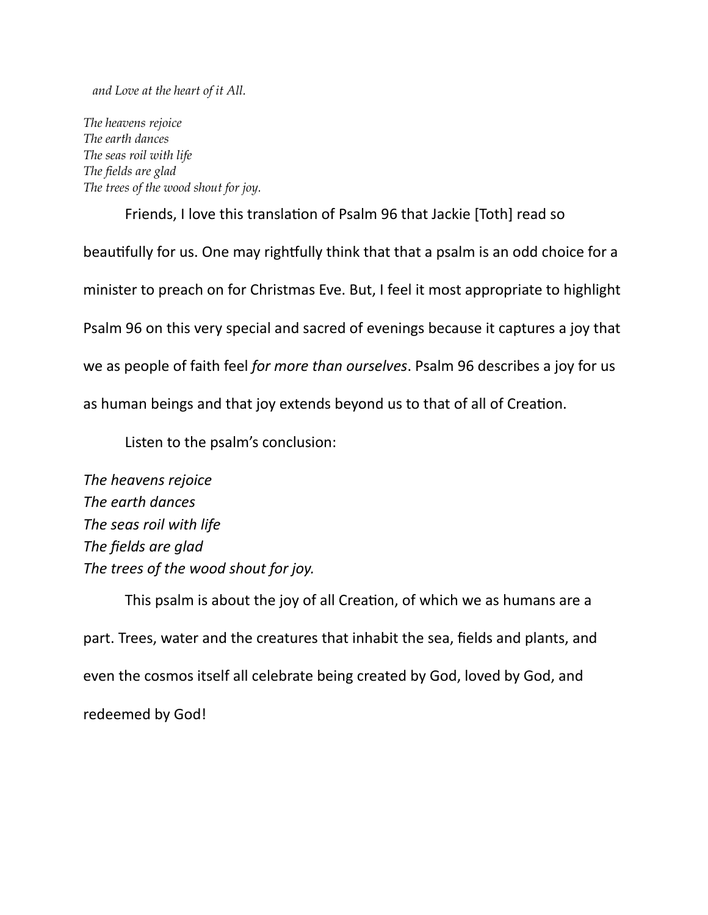*and Love at the heart of it All.*

*The heavens rejoice The earth dances The seas roil with life The fields are glad The trees of the wood shout for joy.*

Friends, I love this translation of Psalm 96 that Jackie [Toth] read so beautifully for us. One may rightfully think that that a psalm is an odd choice for a minister to preach on for Christmas Eve. But, I feel it most appropriate to highlight Psalm 96 on this very special and sacred of evenings because it captures a joy that we as people of faith feel *for more than ourselves*. Psalm 96 describes a joy for us as human beings and that joy extends beyond us to that of all of Creation.

Listen to the psalm's conclusion:

*The heavens rejoice The earth dances The seas roil with life The fields are glad The trees of the wood shout for joy.* 

This psalm is about the joy of all Creation, of which we as humans are a part. Trees, water and the creatures that inhabit the sea, fields and plants, and even the cosmos itself all celebrate being created by God, loved by God, and redeemed by God!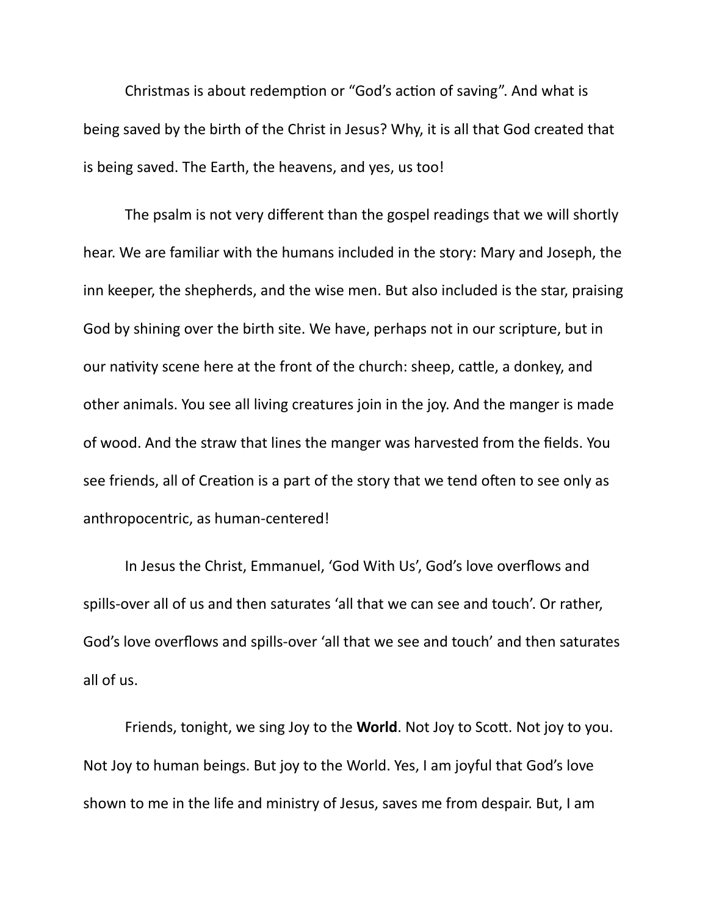Christmas is about redemption or "God's action of saving". And what is being saved by the birth of the Christ in Jesus? Why, it is all that God created that is being saved. The Earth, the heavens, and yes, us too!

The psalm is not very different than the gospel readings that we will shortly hear. We are familiar with the humans included in the story: Mary and Joseph, the inn keeper, the shepherds, and the wise men. But also included is the star, praising God by shining over the birth site. We have, perhaps not in our scripture, but in our nativity scene here at the front of the church: sheep, cattle, a donkey, and other animals. You see all living creatures join in the joy. And the manger is made of wood. And the straw that lines the manger was harvested from the fields. You see friends, all of Creation is a part of the story that we tend often to see only as anthropocentric, as human-centered!

In Jesus the Christ, Emmanuel, 'God With Us', God's love overflows and spills-over all of us and then saturates 'all that we can see and touch'. Or rather, God's love overflows and spills-over 'all that we see and touch' and then saturates all of us.

Friends, tonight, we sing Joy to the **World**. Not Joy to Scott. Not joy to you. Not Joy to human beings. But joy to the World. Yes, I am joyful that God's love shown to me in the life and ministry of Jesus, saves me from despair. But, I am